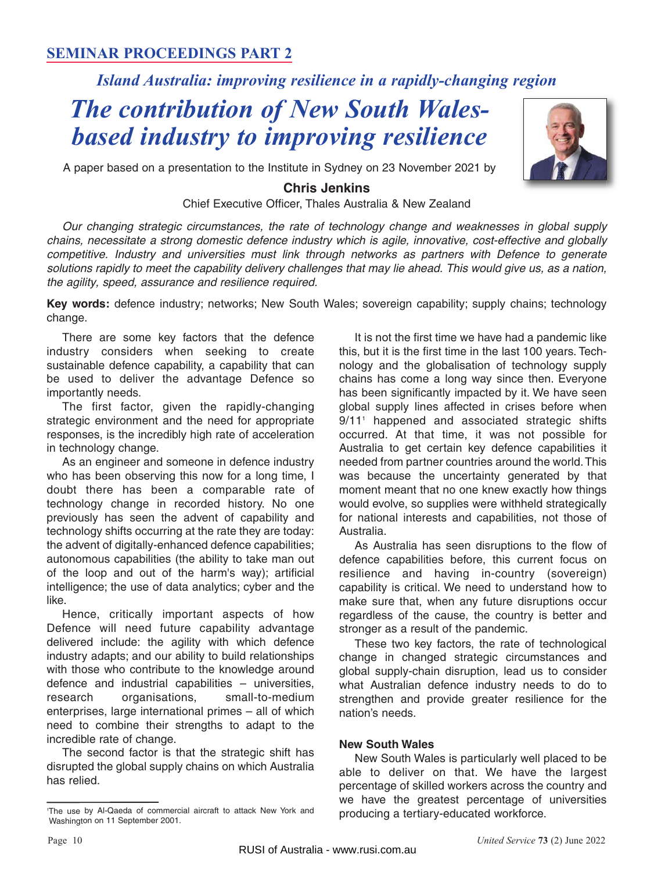### **SEMINAR PROCEEDINGS PART 2**

## *Island Australia: improving resilience in a rapidly-changing region*

# *The contribution of New South Walesbased industry to improving resilience*



A paper based on a presentation to the Institute in Sydney on 23 November 2021 by

#### **Chris Jenkins**  Chief Executive Officer, Thales Australia & New Zealand

Our changing strategic circumstances, the rate of technology change and weaknesses in global supply chains, necessitate a strong domestic defence industry which is agile, innovative, cost-effective and globally competitive. Industry and universities must link through networks as partners with Defence to generate solutions rapidly to meet the capability delivery challenges that may lie ahead. This would give us, as a nation, the agility, speed, assurance and resilience required.

**Key words:** defence industry; networks; New South Wales; sovereign capability; supply chains; technology change.

There are some key factors that the defence industry considers when seeking to create sustainable defence capability, a capability that can be used to deliver the advantage Defence so importantly needs.

The first factor, given the rapidly-changing strategic environment and the need for appropriate responses, is the incredibly high rate of acceleration in technology change.

As an engineer and someone in defence industry who has been observing this now for a long time, I doubt there has been a comparable rate of technology change in recorded history. No one previously has seen the advent of capability and technology shifts occurring at the rate they are today: the advent of digitally-enhanced defence capabilities; autonomous capabilities (the ability to take man out of the loop and out of the harm's way); artificial intelligence; the use of data analytics; cyber and the like.

Hence, critically important aspects of how Defence will need future capability advantage delivered include: the agility with which defence industry adapts; and our ability to build relationships with those who contribute to the knowledge around defence and industrial capabilities – universities, research organisations, small-to-medium enterprises, large international primes – all of which need to combine their strengths to adapt to the incredible rate of change.

The second factor is that the strategic shift has disrupted the global supply chains on which Australia has relied.

It is not the first time we have had a pandemic like this, but it is the first time in the last 100 years. Technology and the globalisation of technology supply chains has come a long way since then. Everyone has been significantly impacted by it. We have seen global supply lines affected in crises before when 9/11<sup>1</sup> happened and associated strategic shifts occurred. At that time, it was not possible for Australia to get certain key defence capabilities it needed from partner countries around the world. This was because the uncertainty generated by that moment meant that no one knew exactly how things would evolve, so supplies were withheld strategically for national interests and capabilities, not those of Australia.

As Australia has seen disruptions to the flow of defence capabilities before, this current focus on resilience and having in-country (sovereign) capability is critical. We need to understand how to make sure that, when any future disruptions occur regardless of the cause, the country is better and stronger as a result of the pandemic.

These two key factors, the rate of technological change in changed strategic circumstances and global supply-chain disruption, lead us to consider what Australian defence industry needs to do to strengthen and provide greater resilience for the nation's needs.

#### **New South Wales**

New South Wales is particularly well placed to be able to deliver on that. We have the largest percentage of skilled workers across the country and we have the greatest percentage of universities producing a tertiary-educated workforce. <sup>1</sup>

The use by Al-Qaeda of commercial aircraft to attack New York and Washington on 11 September 2001.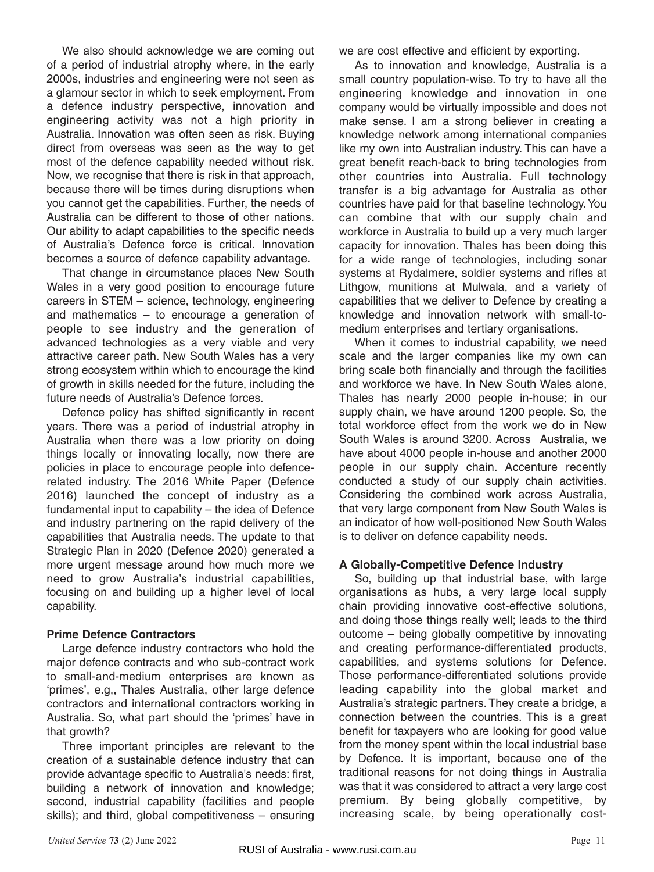We also should acknowledge we are coming out of a period of industrial atrophy where, in the early 2000s, industries and engineering were not seen as a glamour sector in which to seek employment. From a defence industry perspective, innovation and engineering activity was not a high priority in Australia. Innovation was often seen as risk. Buying direct from overseas was seen as the way to get most of the defence capability needed without risk. Now, we recognise that there is risk in that approach, because there will be times during disruptions when you cannot get the capabilities. Further, the needs of Australia can be different to those of other nations. Our ability to adapt capabilities to the specific needs of Australia's Defence force is critical. Innovation becomes a source of defence capability advantage.

That change in circumstance places New South Wales in a very good position to encourage future careers in STEM – science, technology, engineering and mathematics – to encourage a generation of people to see industry and the generation of advanced technologies as a very viable and very attractive career path. New South Wales has a very strong ecosystem within which to encourage the kind of growth in skills needed for the future, including the future needs of Australia's Defence forces.

Defence policy has shifted significantly in recent years. There was a period of industrial atrophy in Australia when there was a low priority on doing things locally or innovating locally, now there are policies in place to encourage people into defencerelated industry. The 2016 White Paper (Defence 2016) launched the concept of industry as a fundamental input to capability – the idea of Defence and industry partnering on the rapid delivery of the capabilities that Australia needs. The update to that Strategic Plan in 2020 (Defence 2020) generated a more urgent message around how much more we need to grow Australia's industrial capabilities, focusing on and building up a higher level of local capability.

#### **Prime Defence Contractors**

Large defence industry contractors who hold the major defence contracts and who sub-contract work to small-and-medium enterprises are known as 'primes', e.g,, Thales Australia, other large defence contractors and international contractors working in Australia. So, what part should the 'primes' have in that growth?

Three important principles are relevant to the creation of a sustainable defence industry that can provide advantage specific to Australia's needs: first, building a network of innovation and knowledge; second, industrial capability (facilities and people skills); and third, global competitiveness – ensuring we are cost effective and efficient by exporting.

As to innovation and knowledge, Australia is a small country population-wise. To try to have all the engineering knowledge and innovation in one company would be virtually impossible and does not make sense. I am a strong believer in creating a knowledge network among international companies like my own into Australian industry. This can have a great benefit reach-back to bring technologies from other countries into Australia. Full technology transfer is a big advantage for Australia as other countries have paid for that baseline technology. You can combine that with our supply chain and workforce in Australia to build up a very much larger capacity for innovation. Thales has been doing this for a wide range of technologies, including sonar systems at Rydalmere, soldier systems and rifles at Lithgow, munitions at Mulwala, and a variety of capabilities that we deliver to Defence by creating a knowledge and innovation network with small-tomedium enterprises and tertiary organisations.

When it comes to industrial capability, we need scale and the larger companies like my own can bring scale both financially and through the facilities and workforce we have. In New South Wales alone, Thales has nearly 2000 people in-house; in our supply chain, we have around 1200 people. So, the total workforce effect from the work we do in New South Wales is around 3200. Across Australia, we have about 4000 people in-house and another 2000 people in our supply chain. Accenture recently conducted a study of our supply chain activities. Considering the combined work across Australia, that very large component from New South Wales is an indicator of how well-positioned New South Wales is to deliver on defence capability needs.

#### **A Globally-Competitive Defence Industry**

So, building up that industrial base, with large organisations as hubs, a very large local supply chain providing innovative cost-effective solutions, and doing those things really well; leads to the third outcome – being globally competitive by innovating and creating performance-differentiated products, capabilities, and systems solutions for Defence. Those performance-differentiated solutions provide leading capability into the global market and Australia's strategic partners. They create a bridge, a connection between the countries. This is a great benefit for taxpayers who are looking for good value from the money spent within the local industrial base by Defence. It is important, because one of the traditional reasons for not doing things in Australia was that it was considered to attract a very large cost premium. By being globally competitive, by increasing scale, by being operationally cost-